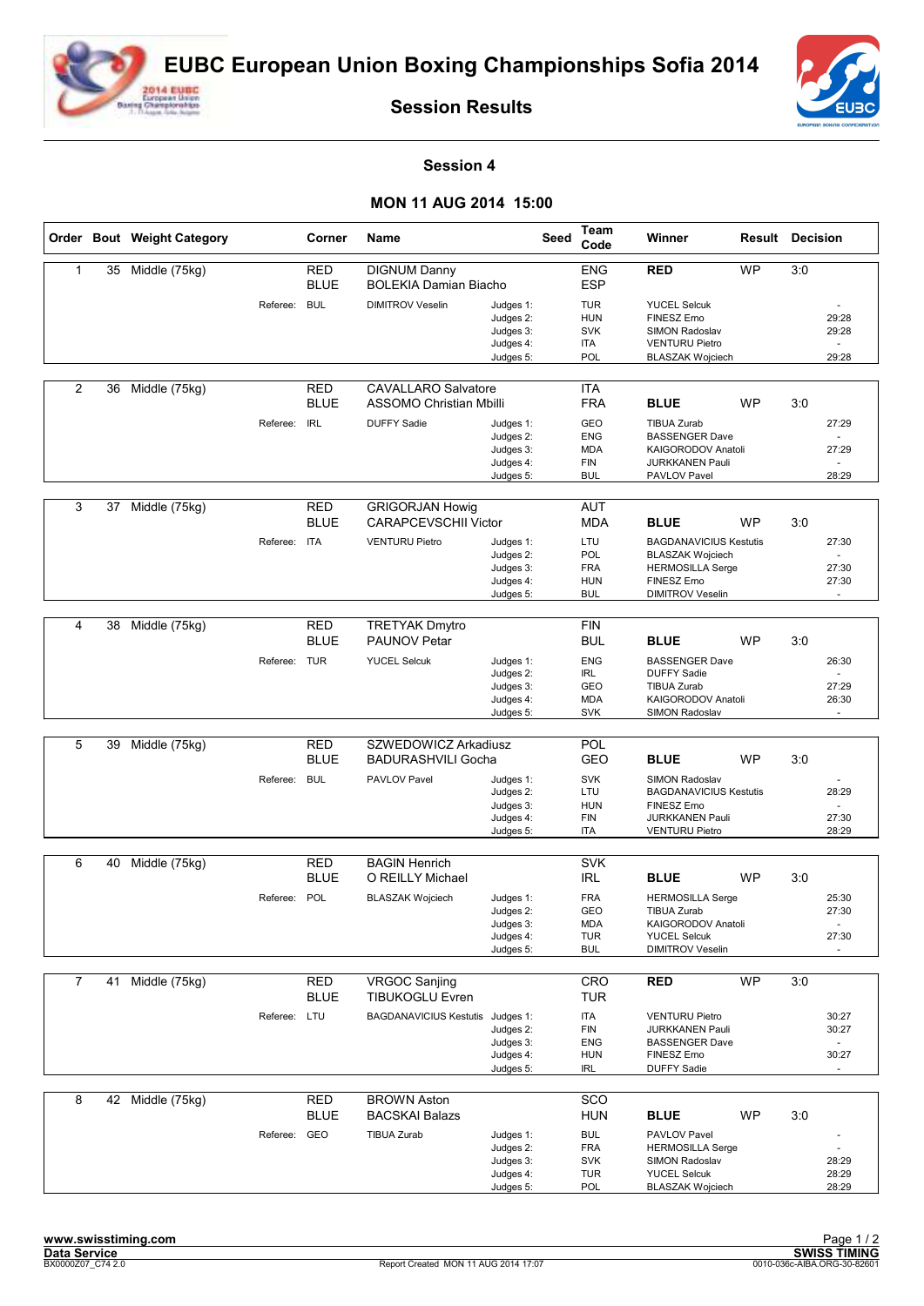



**Session Results**

## **Session 4**

## **MON 11 AUG 2014 15:00**

|                |    | Order Bout Weight Category |              | Corner                    | Name                                                         |                                                               | <b>Seed</b> | Team<br>Code                                                | Winner                                                                                                   | <b>Result Decision</b> |     |                                   |
|----------------|----|----------------------------|--------------|---------------------------|--------------------------------------------------------------|---------------------------------------------------------------|-------------|-------------------------------------------------------------|----------------------------------------------------------------------------------------------------------|------------------------|-----|-----------------------------------|
| 1              | 35 | Middle (75kg)              |              | <b>RED</b><br><b>BLUE</b> | <b>DIGNUM Danny</b><br><b>BOLEKIA Damian Biacho</b>          |                                                               |             | <b>ENG</b><br><b>ESP</b>                                    | <b>RED</b>                                                                                               | <b>WP</b>              | 3:0 |                                   |
|                |    |                            | Referee:     | <b>BUL</b>                | <b>DIMITROV Veselin</b>                                      | Judges 1:<br>Judges 2:<br>Judges 3:<br>Judges 4:<br>Judges 5: |             | <b>TUR</b><br><b>HUN</b><br><b>SVK</b><br><b>ITA</b><br>POL | <b>YUCEL Selcuk</b><br>FINESZ Erno<br>SIMON Radoslav<br><b>VENTURU Pietro</b><br><b>BLASZAK Wojciech</b> |                        |     | 29:28<br>29:28<br>29:28           |
| 2              | 36 | Middle (75kg)              |              | <b>RED</b><br><b>BLUE</b> | <b>CAVALLARO Salvatore</b><br><b>ASSOMO Christian Mbilli</b> |                                                               |             | <b>ITA</b><br><b>FRA</b>                                    | <b>BLUE</b>                                                                                              | <b>WP</b>              | 3:0 |                                   |
|                |    |                            | Referee:     | <b>IRL</b>                | <b>DUFFY Sadie</b>                                           | Judges 1:<br>Judges 2:<br>Judges 3:                           |             | GEO<br><b>ENG</b><br><b>MDA</b>                             | <b>TIBUA Zurab</b><br><b>BASSENGER Dave</b><br>KAIGORODOV Anatoli                                        |                        |     | 27:29<br>27:29                    |
|                |    |                            |              |                           |                                                              | Judges 4:<br>Judges 5:                                        |             | <b>FIN</b><br><b>BUL</b>                                    | <b>JURKKANEN Pauli</b><br>PAVLOV Pavel                                                                   |                        |     | 28:29                             |
| 3              | 37 | Middle (75kg)              |              | <b>RED</b>                | <b>GRIGORJAN Howig</b>                                       |                                                               |             | <b>AUT</b>                                                  |                                                                                                          |                        |     |                                   |
|                |    |                            |              | <b>BLUE</b>               | <b>CARAPCEVSCHII Victor</b>                                  |                                                               |             | <b>MDA</b>                                                  | <b>BLUE</b>                                                                                              | <b>WP</b>              | 3:0 |                                   |
|                |    |                            | Referee:     | <b>ITA</b>                | <b>VENTURU Pietro</b>                                        | Judges 1:<br>Judges 2:                                        |             | LTU<br>POL                                                  | <b>BAGDANAVICIUS Kestutis</b><br><b>BLASZAK Wojciech</b>                                                 |                        |     | 27:30                             |
|                |    |                            |              |                           |                                                              | Judges 3:<br>Judges 4:                                        |             | <b>FRA</b><br><b>HUN</b><br><b>BUL</b>                      | <b>HERMOSILLA Serge</b><br>FINESZ Erno<br><b>DIMITROV Veselin</b>                                        |                        |     | 27:30<br>27:30                    |
|                |    |                            |              |                           |                                                              | Judges 5:                                                     |             |                                                             |                                                                                                          |                        |     |                                   |
| 4              | 38 | Middle (75kg)              |              | RED<br><b>BLUE</b>        | <b>TRETYAK Dmytro</b><br><b>PAUNOV Petar</b>                 |                                                               |             | <b>FIN</b><br><b>BUL</b>                                    | <b>BLUE</b>                                                                                              | <b>WP</b>              | 3:0 |                                   |
|                |    |                            | Referee: TUR |                           | <b>YUCEL Selcuk</b>                                          | Judges 1:<br>Judges 2:                                        |             | <b>ENG</b><br><b>IRL</b>                                    | <b>BASSENGER Dave</b><br><b>DUFFY Sadie</b>                                                              |                        |     | 26:30                             |
|                |    |                            |              |                           |                                                              | Judges 3:                                                     |             | GEO                                                         | <b>TIBUA Zurab</b>                                                                                       |                        |     | 27:29                             |
|                |    |                            |              |                           |                                                              | Judges 4:<br>Judges 5:                                        |             | <b>MDA</b><br><b>SVK</b>                                    | KAIGORODOV Anatoli<br>SIMON Radoslav                                                                     |                        |     | 26:30<br>$\sim$                   |
| 5              | 39 | Middle (75kg)              |              | <b>RED</b>                | SZWEDOWICZ Arkadiusz                                         |                                                               |             | POL                                                         |                                                                                                          |                        |     |                                   |
|                |    |                            |              | <b>BLUE</b>               | <b>BADURASHVILI Gocha</b>                                    |                                                               |             | GEO                                                         | <b>BLUE</b>                                                                                              | <b>WP</b>              | 3:0 |                                   |
|                |    |                            | Referee:     | <b>BUL</b>                | PAVLOV Pavel                                                 | Judges 1:<br>Judges 2:                                        |             | <b>SVK</b><br>LTU                                           | <b>SIMON Radoslav</b><br><b>BAGDANAVICIUS Kestutis</b>                                                   |                        |     | 28:29                             |
|                |    |                            |              |                           |                                                              | Judges 3:<br>Judges 4:                                        |             | <b>HUN</b><br><b>FIN</b>                                    | <b>FINESZ Erno</b><br><b>JURKKANEN Pauli</b>                                                             |                        |     | 27:30                             |
|                |    |                            |              |                           |                                                              | Judges 5:                                                     |             | <b>ITA</b>                                                  | <b>VENTURU Pietro</b>                                                                                    |                        |     | 28:29                             |
| 6              | 40 | Middle (75kg)              |              | <b>RED</b>                | <b>BAGIN Henrich</b>                                         |                                                               |             | <b>SVK</b>                                                  |                                                                                                          |                        |     |                                   |
|                |    |                            | Referee:     | <b>BLUE</b><br>POL        | O REILLY Michael                                             |                                                               |             | <b>IRL</b><br><b>FRA</b>                                    | <b>BLUE</b><br><b>HERMOSILLA Serge</b>                                                                   | <b>WP</b>              | 3:0 | 25:30                             |
|                |    |                            |              |                           | <b>BLASZAK Wojciech</b>                                      | Judges 1:<br>Judges 2:<br>Judges 3:                           |             | GEO<br><b>MDA</b>                                           | <b>TIBUA Zurab</b><br>KAIGORODOV Anatoli                                                                 |                        |     | 27:30<br>$\overline{\phantom{a}}$ |
|                |    |                            |              |                           |                                                              | Judges 4:<br>Judges 5:                                        |             | <b>TUR</b><br><b>BUL</b>                                    | <b>YUCEL Selcuk</b><br><b>DIMITROV Veselin</b>                                                           |                        |     | 27:30                             |
|                |    |                            |              |                           |                                                              |                                                               |             |                                                             |                                                                                                          |                        |     |                                   |
| $\overline{7}$ | 41 | Middle (75kg)              |              | <b>RED</b><br><b>BLUE</b> | <b>VRGOC Sanjing</b><br><b>TIBUKOGLU Evren</b>               |                                                               |             | CRO<br><b>TUR</b>                                           | <b>RED</b>                                                                                               | <b>WP</b>              | 3:0 |                                   |
|                |    |                            | Referee: LTU |                           | BAGDANAVICIUS Kestutis Judges 1:                             | Judges 2:                                                     |             | ITA<br>FIN                                                  | <b>VENTURU Pietro</b><br><b>JURKKANEN Pauli</b>                                                          |                        |     | 30:27<br>30:27                    |
|                |    |                            |              |                           |                                                              | Judges 3:<br>Judges 4:                                        |             | ENG<br><b>HUN</b>                                           | <b>BASSENGER Dave</b><br>FINESZ Erno                                                                     |                        |     | $\sim$<br>30:27                   |
|                |    |                            |              |                           |                                                              | Judges 5:                                                     |             | <b>IRL</b>                                                  | <b>DUFFY Sadie</b>                                                                                       |                        |     |                                   |
| 8              |    | 42 Middle (75kg)           |              | <b>RED</b>                | <b>BROWN Aston</b>                                           |                                                               |             | SCO                                                         |                                                                                                          |                        |     |                                   |
|                |    |                            |              | <b>BLUE</b>               | <b>BACSKAI Balazs</b>                                        |                                                               |             | <b>HUN</b>                                                  | <b>BLUE</b>                                                                                              | <b>WP</b>              | 3:0 |                                   |
|                |    |                            | Referee: GEO |                           | <b>TIBUA Zurab</b>                                           | Judges 1:<br>Judges 2:                                        |             | <b>BUL</b><br><b>FRA</b>                                    | PAVLOV Pavel<br><b>HERMOSILLA Serge</b>                                                                  |                        |     |                                   |
|                |    |                            |              |                           |                                                              | Judges 3:<br>Judges 4:                                        |             | <b>SVK</b><br><b>TUR</b>                                    | SIMON Radoslav<br><b>YUCEL Selcuk</b>                                                                    |                        |     | 28:29<br>28:29                    |
|                |    |                            |              |                           |                                                              | Judges 5:                                                     |             | POL                                                         | <b>BLASZAK Wojciech</b>                                                                                  |                        |     | 28:29                             |